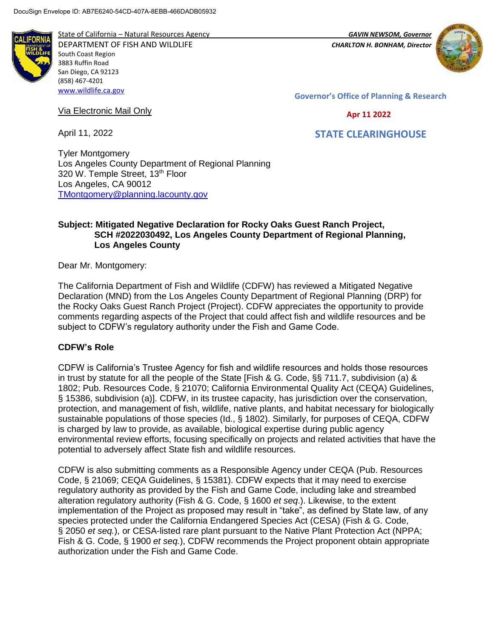Via Electronic Mail Only

April 11, 2022



State of California – Natural Resources Agency *GAVIN NEWSOM, Governor* DEPARTMENT OF FISH AND WILDLIFE *CHARLTON H. BONHAM, Director*  South Coast Region 3883 Ruffin Road San Diego, CA 92123 (858) 467-4201 [www.wildlife.ca.gov](http://www.wildlife.ca.gov/)



**Governor's Office of Planning & Research**

#### **Apr 11 2022**

# **STATE CLEARINGHOUSE**

Tyler Montgomery Los Angeles County Department of Regional Planning 320 W. Temple Street, 13<sup>th</sup> Floor Los Angeles, CA 90012 [TMontgomery@planning.lacounty.gov](mailto:TMontgomery@planning.lacounty.gov)

### **Subject: Mitigated Negative Declaration for Rocky Oaks Guest Ranch Project, SCH #2022030492, Los Angeles County Department of Regional Planning, Los Angeles County**

Dear Mr. Montgomery:

The California Department of Fish and Wildlife (CDFW) has reviewed a Mitigated Negative Declaration (MND) from the Los Angeles County Department of Regional Planning (DRP) for the Rocky Oaks Guest Ranch Project (Project). CDFW appreciates the opportunity to provide comments regarding aspects of the Project that could affect fish and wildlife resources and be subject to CDFW's regulatory authority under the Fish and Game Code.

### **CDFW's Role**

CDFW is California's Trustee Agency for fish and wildlife resources and holds those resources in trust by statute for all the people of the State [Fish & G. Code, §§ 711.7, subdivision (a) & 1802; Pub. Resources Code, § 21070; California Environmental Quality Act (CEQA) Guidelines, § 15386, subdivision (a)]. CDFW, in its trustee capacity, has jurisdiction over the conservation, protection, and management of fish, wildlife, native plants, and habitat necessary for biologically sustainable populations of those species (Id., § 1802). Similarly, for purposes of CEQA, CDFW is charged by law to provide, as available, biological expertise during public agency environmental review efforts, focusing specifically on projects and related activities that have the potential to adversely affect State fish and wildlife resources.

CDFW is also submitting comments as a Responsible Agency under CEQA (Pub. Resources Code, § 21069; CEQA Guidelines, § 15381). CDFW expects that it may need to exercise regulatory authority as provided by the Fish and Game Code, including lake and streambed alteration regulatory authority (Fish & G. Code, § 1600 *et seq*.). Likewise, to the extent implementation of the Project as proposed may result in "take", as defined by State law, of any species protected under the California Endangered Species Act (CESA) (Fish & G. Code, § 2050 *et seq.*), or CESA-listed rare plant pursuant to the Native Plant Protection Act (NPPA; Fish & G. Code, § 1900 *et seq.*), CDFW recommends the Project proponent obtain appropriate authorization under the Fish and Game Code.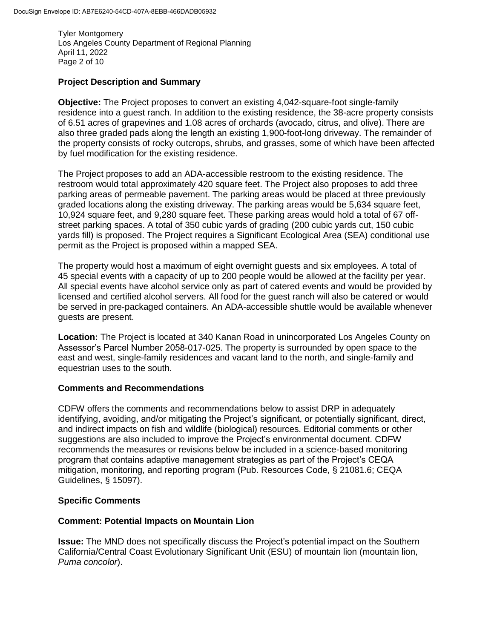Tyler Montgomery Los Angeles County Department of Regional Planning April 11, 2022 Page 2 of 10

### **Project Description and Summary**

**Objective:** The Project proposes to convert an existing 4,042-square-foot single-family residence into a guest ranch. In addition to the existing residence, the 38-acre property consists of 6.51 acres of grapevines and 1.08 acres of orchards (avocado, citrus, and olive). There are also three graded pads along the length an existing 1,900-foot-long driveway. The remainder of the property consists of rocky outcrops, shrubs, and grasses, some of which have been affected by fuel modification for the existing residence.

The Project proposes to add an ADA-accessible restroom to the existing residence. The restroom would total approximately 420 square feet. The Project also proposes to add three parking areas of permeable pavement. The parking areas would be placed at three previously graded locations along the existing driveway. The parking areas would be 5,634 square feet, 10,924 square feet, and 9,280 square feet. These parking areas would hold a total of 67 offstreet parking spaces. A total of 350 cubic yards of grading (200 cubic yards cut, 150 cubic yards fill) is proposed. The Project requires a Significant Ecological Area (SEA) conditional use permit as the Project is proposed within a mapped SEA.

The property would host a maximum of eight overnight guests and six employees. A total of 45 special events with a capacity of up to 200 people would be allowed at the facility per year. All special events have alcohol service only as part of catered events and would be provided by licensed and certified alcohol servers. All food for the guest ranch will also be catered or would be served in pre-packaged containers. An ADA-accessible shuttle would be available whenever guests are present.

**Location:** The Project is located at 340 Kanan Road in unincorporated Los Angeles County on Assessor's Parcel Number 2058-017-025. The property is surrounded by open space to the east and west, single-family residences and vacant land to the north, and single-family and equestrian uses to the south.

### **Comments and Recommendations**

CDFW offers the comments and recommendations below to assist DRP in adequately identifying, avoiding, and/or mitigating the Project's significant, or potentially significant, direct, and indirect impacts on fish and wildlife (biological) resources. Editorial comments or other suggestions are also included to improve the Project's environmental document. CDFW recommends the measures or revisions below be included in a science-based monitoring program that contains adaptive management strategies as part of the Project's CEQA mitigation, monitoring, and reporting program (Pub. Resources Code, § 21081.6; CEQA Guidelines, § 15097).

### **Specific Comments**

#### **Comment: Potential Impacts on Mountain Lion**

**Issue:** The MND does not specifically discuss the Project's potential impact on the Southern California/Central Coast Evolutionary Significant Unit (ESU) of mountain lion (mountain lion, *Puma concolor*).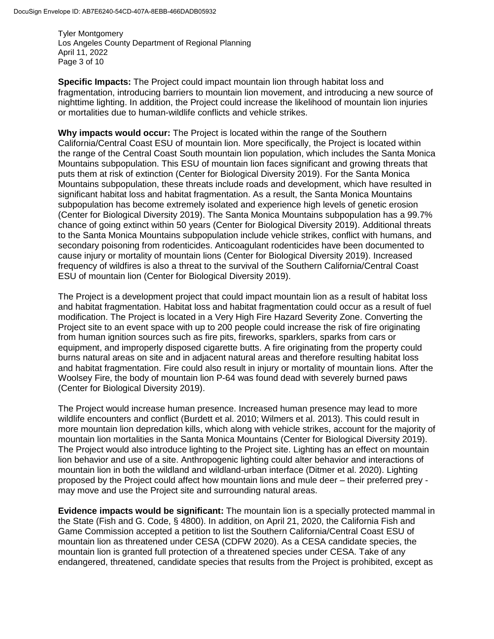Tyler Montgomery Los Angeles County Department of Regional Planning April 11, 2022 Page 3 of 10

**Specific Impacts:** The Project could impact mountain lion through habitat loss and fragmentation, introducing barriers to mountain lion movement, and introducing a new source of nighttime lighting. In addition, the Project could increase the likelihood of mountain lion injuries or mortalities due to human-wildlife conflicts and vehicle strikes.

**Why impacts would occur:** The Project is located within the range of the Southern California/Central Coast ESU of mountain lion. More specifically, the Project is located within the range of the Central Coast South mountain lion population, which includes the Santa Monica Mountains subpopulation. This ESU of mountain lion faces significant and growing threats that puts them at risk of extinction (Center for Biological Diversity 2019). For the Santa Monica Mountains subpopulation, these threats include roads and development, which have resulted in significant habitat loss and habitat fragmentation. As a result, the Santa Monica Mountains subpopulation has become extremely isolated and experience high levels of genetic erosion (Center for Biological Diversity 2019). The Santa Monica Mountains subpopulation has a 99.7% chance of going extinct within 50 years (Center for Biological Diversity 2019). Additional threats to the Santa Monica Mountains subpopulation include vehicle strikes, conflict with humans, and secondary poisoning from rodenticides. Anticoagulant rodenticides have been documented to cause injury or mortality of mountain lions (Center for Biological Diversity 2019). Increased frequency of wildfires is also a threat to the survival of the Southern California/Central Coast ESU of mountain lion (Center for Biological Diversity 2019).

The Project is a development project that could impact mountain lion as a result of habitat loss and habitat fragmentation. Habitat loss and habitat fragmentation could occur as a result of fuel modification. The Project is located in a Very High Fire Hazard Severity Zone. Converting the Project site to an event space with up to 200 people could increase the risk of fire originating from human ignition sources such as fire pits, fireworks, sparklers, sparks from cars or equipment, and improperly disposed cigarette butts. A fire originating from the property could burns natural areas on site and in adjacent natural areas and therefore resulting habitat loss and habitat fragmentation. Fire could also result in injury or mortality of mountain lions. After the Woolsey Fire, the body of mountain lion P-64 was found dead with severely burned paws (Center for Biological Diversity 2019).

The Project would increase human presence. Increased human presence may lead to more wildlife encounters and conflict (Burdett et al. 2010; Wilmers et al. 2013). This could result in more mountain lion depredation kills, which along with vehicle strikes, account for the majority of mountain lion mortalities in the Santa Monica Mountains (Center for Biological Diversity 2019). The Project would also introduce lighting to the Project site. Lighting has an effect on mountain lion behavior and use of a site. Anthropogenic lighting could alter behavior and interactions of mountain lion in both the wildland and wildland-urban interface (Ditmer et al. 2020). Lighting proposed by the Project could affect how mountain lions and mule deer – their preferred prey may move and use the Project site and surrounding natural areas.

**Evidence impacts would be significant:** The mountain lion is a specially protected mammal in the State (Fish and G. Code, § 4800). In addition, on April 21, 2020, the California Fish and Game Commission accepted a petition to list the Southern California/Central Coast ESU of mountain lion as threatened under CESA (CDFW 2020). As a CESA candidate species, the mountain lion is granted full protection of a threatened species under CESA. Take of any endangered, threatened, candidate species that results from the Project is prohibited, except as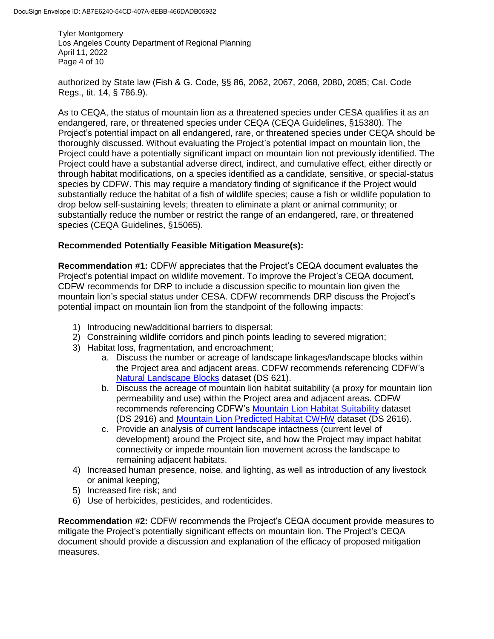Tyler Montgomery Los Angeles County Department of Regional Planning April 11, 2022 Page 4 of 10

authorized by State law (Fish & G. Code, §§ 86, 2062, 2067, 2068, 2080, 2085; Cal. Code Regs., tit. 14, § 786.9).

As to CEQA, the status of mountain lion as a threatened species under CESA qualifies it as an endangered, rare, or threatened species under CEQA (CEQA Guidelines, §15380). The Project's potential impact on all endangered, rare, or threatened species under CEQA should be thoroughly discussed. Without evaluating the Project's potential impact on mountain lion, the Project could have a potentially significant impact on mountain lion not previously identified. The Project could have a substantial adverse direct, indirect, and cumulative effect, either directly or through habitat modifications, on a species identified as a candidate, sensitive, or special-status species by CDFW. This may require a mandatory finding of significance if the Project would substantially reduce the habitat of a fish of wildlife species; cause a fish or wildlife population to drop below self-sustaining levels; threaten to eliminate a plant or animal community; or substantially reduce the number or restrict the range of an endangered, rare, or threatened species (CEQA Guidelines, §15065).

### **Recommended Potentially Feasible Mitigation Measure(s):**

**Recommendation #1:** CDFW appreciates that the Project's CEQA document evaluates the Project's potential impact on wildlife movement. To improve the Project's CEQA document, CDFW recommends for DRP to include a discussion specific to mountain lion given the mountain lion's special status under CESA. CDFW recommends DRP discuss the Project's potential impact on mountain lion from the standpoint of the following impacts:

- 1) Introducing new/additional barriers to dispersal;
- 2) Constraining wildlife corridors and pinch points leading to severed migration;
- 3) Habitat loss, fragmentation, and encroachment;
	- a. Discuss the number or acreage of landscape linkages/landscape blocks within the Project area and adjacent areas. CDFW recommends referencing CDFW's [Natural Landscape Blocks](https://map.dfg.ca.gov/metadata/ds0621.html?5.108.39) dataset (DS 621).
	- b. Discuss the acreage of mountain lion habitat suitability (a proxy for mountain lion permeability and use) within the Project area and adjacent areas. CDFW recommends referencing CDFW's [Mountain Lion Habitat Suitability](https://map.dfg.ca.gov/metadata/ds2916.html?5.108.39) dataset (DS 2916) and [Mountain Lion Predicted Habitat CWHW](https://map.dfg.ca.gov/metadata/ds2616.html?5.108.39) dataset (DS 2616).
	- c. Provide an analysis of current landscape intactness (current level of development) around the Project site, and how the Project may impact habitat connectivity or impede mountain lion movement across the landscape to remaining adjacent habitats.
- 4) Increased human presence, noise, and lighting, as well as introduction of any livestock or animal keeping;
- 5) Increased fire risk; and
- 6) Use of herbicides, pesticides, and rodenticides.

**Recommendation #2:** CDFW recommends the Project's CEQA document provide measures to mitigate the Project's potentially significant effects on mountain lion. The Project's CEQA document should provide a discussion and explanation of the efficacy of proposed mitigation measures.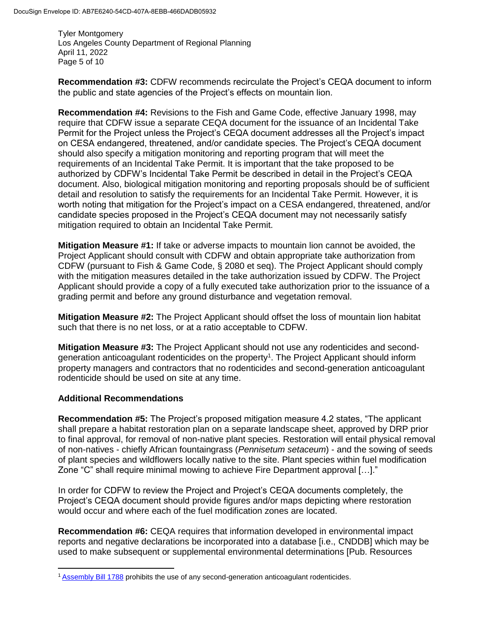Tyler Montgomery Los Angeles County Department of Regional Planning April 11, 2022 Page 5 of 10

**Recommendation #3:** CDFW recommends recirculate the Project's CEQA document to inform the public and state agencies of the Project's effects on mountain lion.

**Recommendation #4:** Revisions to the Fish and Game Code, effective January 1998, may require that CDFW issue a separate CEQA document for the issuance of an Incidental Take Permit for the Project unless the Project's CEQA document addresses all the Project's impact on CESA endangered, threatened, and/or candidate species. The Project's CEQA document should also specify a mitigation monitoring and reporting program that will meet the requirements of an Incidental Take Permit. It is important that the take proposed to be authorized by CDFW's Incidental Take Permit be described in detail in the Project's CEQA document. Also, biological mitigation monitoring and reporting proposals should be of sufficient detail and resolution to satisfy the requirements for an Incidental Take Permit. However, it is worth noting that mitigation for the Project's impact on a CESA endangered, threatened, and/or candidate species proposed in the Project's CEQA document may not necessarily satisfy mitigation required to obtain an Incidental Take Permit.

**Mitigation Measure #1:** If take or adverse impacts to mountain lion cannot be avoided, the Project Applicant should consult with CDFW and obtain appropriate take authorization from CDFW (pursuant to Fish & Game Code, § 2080 et seq). The Project Applicant should comply with the mitigation measures detailed in the take authorization issued by CDFW. The Project Applicant should provide a copy of a fully executed take authorization prior to the issuance of a grading permit and before any ground disturbance and vegetation removal.

**Mitigation Measure #2:** The Project Applicant should offset the loss of mountain lion habitat such that there is no net loss, or at a ratio acceptable to CDFW.

**Mitigation Measure #3:** The Project Applicant should not use any rodenticides and secondgeneration anticoagulant rodenticides on the property<sup>1</sup>. The Project Applicant should inform property managers and contractors that no rodenticides and second-generation anticoagulant rodenticide should be used on site at any time.

### **Additional Recommendations**

**Recommendation #5:** The Project's proposed mitigation measure 4.2 states, "The applicant shall prepare a habitat restoration plan on a separate landscape sheet, approved by DRP prior to final approval, for removal of non-native plant species. Restoration will entail physical removal of non-natives - chiefly African fountaingrass (*Pennisetum setaceum*) - and the sowing of seeds of plant species and wildflowers locally native to the site. Plant species within fuel modification Zone "C" shall require minimal mowing to achieve Fire Department approval […]."

In order for CDFW to review the Project and Project's CEQA documents completely, the Project's CEQA document should provide figures and/or maps depicting where restoration would occur and where each of the fuel modification zones are located.

**Recommendation #6:** CEQA requires that information developed in environmental impact reports and negative declarations be incorporated into a database [i.e., CNDDB] which may be used to make subsequent or supplemental environmental determinations [Pub. Resources

 $\overline{a}$ <sup>1</sup> [Assembly Bill 1788](https://leginfo.legislature.ca.gov/faces/billTextClient.xhtml?bill_id=201920200AB1788) prohibits the use of any second-generation anticoagulant rodenticides.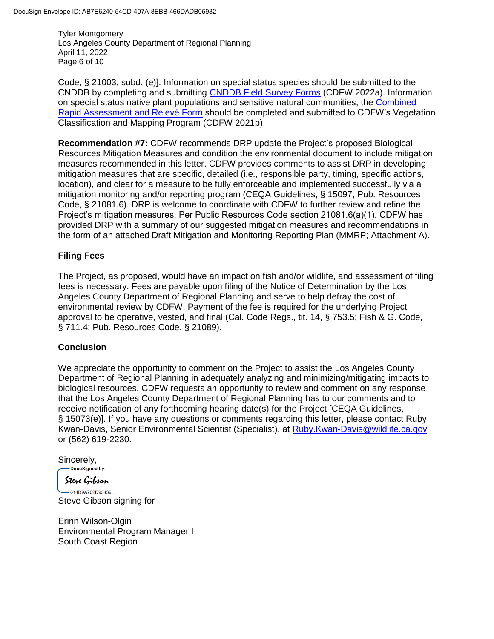Tyler Montgomery Los Angeles County Department of Regional Planning April 11, 2022 Page 6 of 10

Code, § 21003, subd. (e)]. Information on special status species should be submitted to the CNDDB by completing and submitting [CNDDB Field Survey Forms](https://wildlife.ca.gov/Data/CNDDB/Submitting-Data) (CDFW 2022a). Information on special status native plant populations and sensitive natural communities, the [Combined](https://wildlife.ca.gov/Data/VegCAMP/Natural-Communities/Submit)  [Rapid Assessment and Relevé](https://wildlife.ca.gov/Data/VegCAMP/Natural-Communities/Submit) Form should be completed and submitted to CDFW's Vegetation Classification and Mapping Program (CDFW 2021b).

**Recommendation #7:** CDFW recommends DRP update the Project's proposed Biological Resources Mitigation Measures and condition the environmental document to include mitigation measures recommended in this letter. CDFW provides comments to assist DRP in developing mitigation measures that are specific, detailed (i.e., responsible party, timing, specific actions, location), and clear for a measure to be fully enforceable and implemented successfully via a mitigation monitoring and/or reporting program (CEQA Guidelines, § 15097; Pub. Resources Code, § 21081.6). DRP is welcome to coordinate with CDFW to further review and refine the Project's mitigation measures. Per Public Resources Code section 21081.6(a)(1), CDFW has provided DRP with a summary of our suggested mitigation measures and recommendations in the form of an attached Draft Mitigation and Monitoring Reporting Plan (MMRP; Attachment A).

### **Filing Fees**

The Project, as proposed, would have an impact on fish and/or wildlife, and assessment of filing fees is necessary. Fees are payable upon filing of the Notice of Determination by the Los Angeles County Department of Regional Planning and serve to help defray the cost of environmental review by CDFW. Payment of the fee is required for the underlying Project approval to be operative, vested, and final (Cal. Code Regs., tit. 14, § 753.5; Fish & G. Code, § 711.4; Pub. Resources Code, § 21089).

#### **Conclusion**

We appreciate the opportunity to comment on the Project to assist the Los Angeles County Department of Regional Planning in adequately analyzing and minimizing/mitigating impacts to biological resources. CDFW requests an opportunity to review and comment on any response that the Los Angeles County Department of Regional Planning has to our comments and to receive notification of any forthcoming hearing date(s) for the Project [CEQA Guidelines, § 15073(e)]. If you have any questions or comments regarding this letter, please contact Ruby Kwan-Davis, Senior Environmental Scientist (Specialist), at [Ruby.Kwan-Davis@wildlife.ca.gov](mailto:Ruby.Kwan-Davis@wildlife.ca.gov) or (562) 619-2230.

Sincerely,

-DocuSigned by: Steve Gibson

 $-614D9A782D93439...$ Steve Gibson signing for

Erinn Wilson-Olgin Environmental Program Manager I South Coast Region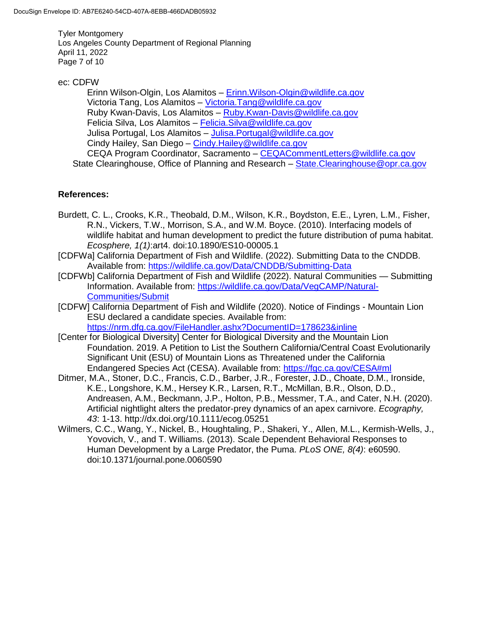Tyler Montgomery Los Angeles County Department of Regional Planning April 11, 2022 Page 7 of 10

#### ec: CDFW

Erinn Wilson-Olgin, Los Alamitos – [Erinn.Wilson-Olgin@wildlife.ca.gov](mailto:Erinn.Wilson-Olgin@wildlife.ca.gov) Victoria Tang, Los Alamitos – [Victoria.Tang@wildlife.ca.gov](mailto:Victoria.Tang@wildlife.ca.gov) Ruby Kwan-Davis, Los Alamitos – [Ruby.Kwan-Davis@wildlife.ca.gov](mailto:Ruby.Kwan-Davis@wildlife.ca.gov) Felicia Silva, Los Alamitos – [Felicia.Silva@wildlife.ca.gov](mailto:Felicia.Silva@wildlife.ca.gov) Julisa Portugal, Los Alamitos - [Julisa.Portugal@wildlife.ca.gov](mailto:Julisa.Portugal@wildlife.ca.gov) Cindy Hailey, San Diego – [Cindy.Hailey@wildlife.ca.gov](mailto:Cindy.Hailey@wildlife.ca.gov) CEQA Program Coordinator, Sacramento – [CEQACommentLetters@wildlife.ca.gov](mailto:CEQACommentLetters@wildlife.ca.gov)  State Clearinghouse, Office of Planning and Research – State. Clearinghouse @opr.ca.gov

## **References:**

- Burdett, C. L., Crooks, K.R., Theobald, D.M., Wilson, K.R., Boydston, E.E., Lyren, L.M., Fisher, R.N., Vickers, T.W., Morrison, S.A., and W.M. Boyce. (2010). Interfacing models of wildlife habitat and human development to predict the future distribution of puma habitat. *Ecosphere, 1(1)*:art4. doi:10.1890/ES10-00005.1
- [CDFWa] California Department of Fish and Wildlife. (2022). Submitting Data to the CNDDB. Available from:<https://wildlife.ca.gov/Data/CNDDB/Submitting-Data>
- [CDFWb] California Department of Fish and Wildlife (2022). Natural Communities Submitting Information. Available from: [https://wildlife.ca.gov/Data/VegCAMP/Natural-](https://wildlife.ca.gov/Data/VegCAMP/Natural-Communities/Submit)[Communities/Submit](https://wildlife.ca.gov/Data/VegCAMP/Natural-Communities/Submit)
- [CDFW] California Department of Fish and Wildlife (2020). Notice of Findings Mountain Lion ESU declared a candidate species. Available from: <https://nrm.dfg.ca.gov/FileHandler.ashx?DocumentID=178623&inline>
- [Center for Biological Diversity] Center for Biological Diversity and the Mountain Lion Foundation. 2019. A Petition to List the Southern California/Central Coast Evolutionarily Significant Unit (ESU) of Mountain Lions as Threatened under the California Endangered Species Act (CESA). Available from:<https://fgc.ca.gov/CESA#ml>
- Ditmer, M.A., Stoner, D.C., Francis, C.D., Barber, J.R., Forester, J.D., Choate, D.M., Ironside, K.E., Longshore, K.M., Hersey K.R., Larsen, R.T., McMillan, B.R., Olson, D.D., Andreasen, A.M., Beckmann, J.P., Holton, P.B., Messmer, T.A., and Cater, N.H. (2020). Artificial nightlight alters the predator-prey dynamics of an apex carnivore. *Ecography, 43*: 1-13. http://dx.doi.org/10.1111/ecog.05251
- Wilmers, C.C., Wang, Y., Nickel, B., Houghtaling, P., Shakeri, Y., Allen, M.L., Kermish-Wells, J., Yovovich, V., and T. Williams. (2013). Scale Dependent Behavioral Responses to Human Development by a Large Predator, the Puma. *PLoS ONE, 8(4)*: e60590. doi:10.1371/journal.pone.0060590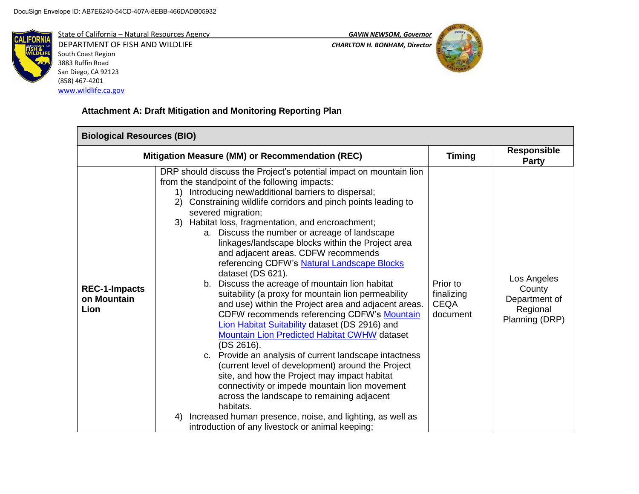

State of California – Natural Resources Agency *GAVIN NEWSOM, Governor* DEPARTMENT OF FISH AND WILDLIFE *CHARLTON H. BONHAM, Director*  South Coast Region 3883 Ruffin Road San Diego, CA 92123 (858) 467-4201 [www.wildlife.ca.gov](http://www.wildlife.ca.gov/)



# **Attachment A: Draft Mitigation and Monitoring Reporting Plan**

| <b>Biological Resources (BIO)</b>               |                                                                                                                                                                                                                                                                                                                                                                                                                                                                                                                                                                                                                                                                                                                                                                                                                                                                                                                                                                                                                                                                                                                                                                                                                                                                                                                                        |                                                   |                                                                      |  |  |  |
|-------------------------------------------------|----------------------------------------------------------------------------------------------------------------------------------------------------------------------------------------------------------------------------------------------------------------------------------------------------------------------------------------------------------------------------------------------------------------------------------------------------------------------------------------------------------------------------------------------------------------------------------------------------------------------------------------------------------------------------------------------------------------------------------------------------------------------------------------------------------------------------------------------------------------------------------------------------------------------------------------------------------------------------------------------------------------------------------------------------------------------------------------------------------------------------------------------------------------------------------------------------------------------------------------------------------------------------------------------------------------------------------------|---------------------------------------------------|----------------------------------------------------------------------|--|--|--|
| Mitigation Measure (MM) or Recommendation (REC) |                                                                                                                                                                                                                                                                                                                                                                                                                                                                                                                                                                                                                                                                                                                                                                                                                                                                                                                                                                                                                                                                                                                                                                                                                                                                                                                                        | <b>Timing</b>                                     | <b>Responsible</b><br>Party                                          |  |  |  |
| <b>REC-1-Impacts</b><br>on Mountain<br>Lion     | DRP should discuss the Project's potential impact on mountain lion<br>from the standpoint of the following impacts:<br>Introducing new/additional barriers to dispersal;<br>$\left( \begin{matrix} 1 \end{matrix} \right)$<br>Constraining wildlife corridors and pinch points leading to<br>(2)<br>severed migration;<br>3) Habitat loss, fragmentation, and encroachment;<br>a. Discuss the number or acreage of landscape<br>linkages/landscape blocks within the Project area<br>and adjacent areas. CDFW recommends<br>referencing CDFW's Natural Landscape Blocks<br>dataset (DS 621).<br>b. Discuss the acreage of mountain lion habitat<br>suitability (a proxy for mountain lion permeability<br>and use) within the Project area and adjacent areas.<br>CDFW recommends referencing CDFW's Mountain<br>Lion Habitat Suitability dataset (DS 2916) and<br><b>Mountain Lion Predicted Habitat CWHW dataset</b><br>(DS 2616).<br>c. Provide an analysis of current landscape intactness<br>(current level of development) around the Project<br>site, and how the Project may impact habitat<br>connectivity or impede mountain lion movement<br>across the landscape to remaining adjacent<br>habitats.<br>Increased human presence, noise, and lighting, as well as<br>4)<br>introduction of any livestock or animal keeping; | Prior to<br>finalizing<br><b>CEQA</b><br>document | Los Angeles<br>County<br>Department of<br>Regional<br>Planning (DRP) |  |  |  |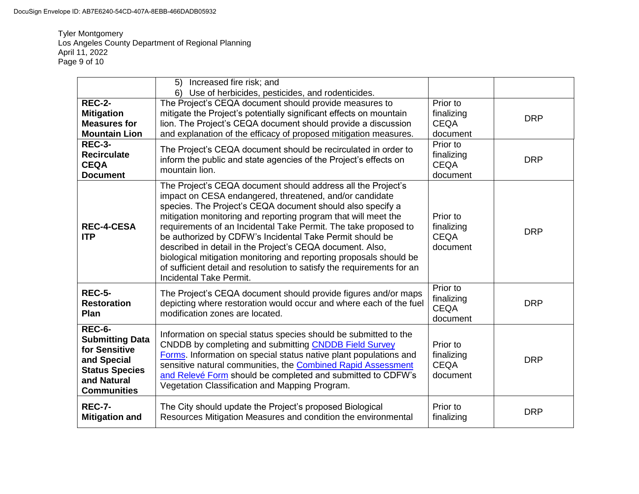Tyler Montgomery Los Angeles County Department of Regional Planning April 11, 2022 Page 9 of 10

|                                                                                                                                       | 5) Increased fire risk; and<br>6) Use of herbicides, pesticides, and rodenticides.                                                                                                                                                                                                                                                                                                                                                                                                                                                                                                                                                    |                                                      |            |
|---------------------------------------------------------------------------------------------------------------------------------------|---------------------------------------------------------------------------------------------------------------------------------------------------------------------------------------------------------------------------------------------------------------------------------------------------------------------------------------------------------------------------------------------------------------------------------------------------------------------------------------------------------------------------------------------------------------------------------------------------------------------------------------|------------------------------------------------------|------------|
| <b>REC-2-</b><br><b>Mitigation</b><br><b>Measures for</b><br><b>Mountain Lion</b>                                                     | The Project's CEQA document should provide measures to<br>mitigate the Project's potentially significant effects on mountain<br>lion. The Project's CEQA document should provide a discussion<br>and explanation of the efficacy of proposed mitigation measures.                                                                                                                                                                                                                                                                                                                                                                     | $P$ rior to<br>finalizing<br><b>CEQA</b><br>document | <b>DRP</b> |
| <b>REC-3-</b><br><b>Recirculate</b><br><b>CEQA</b><br><b>Document</b>                                                                 | The Project's CEQA document should be recirculated in order to<br>inform the public and state agencies of the Project's effects on<br>mountain lion.                                                                                                                                                                                                                                                                                                                                                                                                                                                                                  | Prior to<br>finalizing<br><b>CEQA</b><br>document    | <b>DRP</b> |
| <b>REC-4-CESA</b><br><b>ITP</b>                                                                                                       | The Project's CEQA document should address all the Project's<br>impact on CESA endangered, threatened, and/or candidate<br>species. The Project's CEQA document should also specify a<br>mitigation monitoring and reporting program that will meet the<br>requirements of an Incidental Take Permit. The take proposed to<br>be authorized by CDFW's Incidental Take Permit should be<br>described in detail in the Project's CEQA document. Also,<br>biological mitigation monitoring and reporting proposals should be<br>of sufficient detail and resolution to satisfy the requirements for an<br><b>Incidental Take Permit.</b> | Prior to<br>finalizing<br><b>CEQA</b><br>document    | <b>DRP</b> |
| <b>REC-5-</b><br><b>Restoration</b><br>Plan                                                                                           | The Project's CEQA document should provide figures and/or maps<br>depicting where restoration would occur and where each of the fuel<br>modification zones are located.                                                                                                                                                                                                                                                                                                                                                                                                                                                               | Prior to<br>finalizing<br><b>CEQA</b><br>document    | <b>DRP</b> |
| <b>REC-6-</b><br><b>Submitting Data</b><br>for Sensitive<br>and Special<br><b>Status Species</b><br>and Natural<br><b>Communities</b> | Information on special status species should be submitted to the<br>CNDDB by completing and submitting CNDDB Field Survey<br>Forms. Information on special status native plant populations and<br>sensitive natural communities, the Combined Rapid Assessment<br>and Relevé Form should be completed and submitted to CDFW's<br>Vegetation Classification and Mapping Program.                                                                                                                                                                                                                                                       | Prior to<br>finalizing<br><b>CEQA</b><br>document    | <b>DRP</b> |
| <b>REC-7-</b><br><b>Mitigation and</b>                                                                                                | The City should update the Project's proposed Biological<br>Resources Mitigation Measures and condition the environmental                                                                                                                                                                                                                                                                                                                                                                                                                                                                                                             | Prior to<br>finalizing                               | <b>DRP</b> |